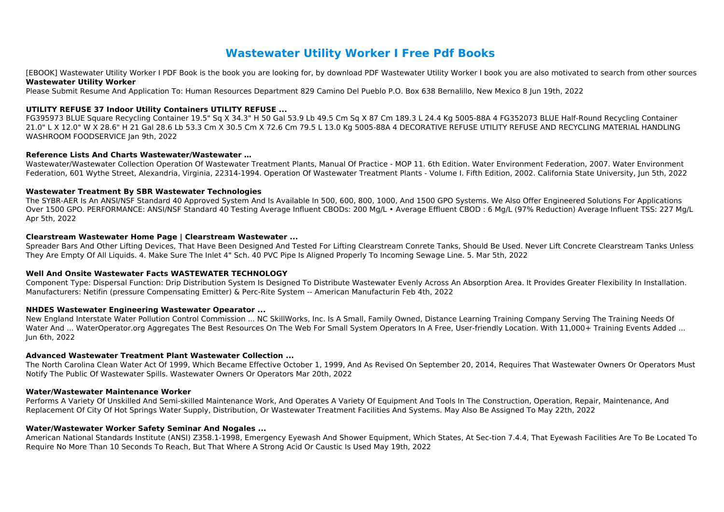# **Wastewater Utility Worker I Free Pdf Books**

[EBOOK] Wastewater Utility Worker I PDF Book is the book you are looking for, by download PDF Wastewater Utility Worker I book you are also motivated to search from other sources **Wastewater Utility Worker**

Please Submit Resume And Application To: Human Resources Department 829 Camino Del Pueblo P.O. Box 638 Bernalillo, New Mexico 8 Jun 19th, 2022

# **UTILITY REFUSE 37 Indoor Utility Containers UTILITY REFUSE ...**

FG395973 BLUE Square Recycling Container 19.5" Sq X 34.3" H 50 Gal 53.9 Lb 49.5 Cm Sq X 87 Cm 189.3 L 24.4 Kg 5005-88A 4 FG352073 BLUE Half-Round Recycling Container 21.0" L X 12.0" W X 28.6" H 21 Gal 28.6 Lb 53.3 Cm X 30.5 Cm X 72.6 Cm 79.5 L 13.0 Kg 5005-88A 4 DECORATIVE REFUSE UTILITY REFUSE AND RECYCLING MATERIAL HANDLING WASHROOM FOODSERVICE Jan 9th, 2022

# **Reference Lists And Charts Wastewater/Wastewater …**

Wastewater/Wastewater Collection Operation Of Wastewater Treatment Plants, Manual Of Practice - MOP 11. 6th Edition. Water Environment Federation, 2007. Water Environment Federation, 601 Wythe Street, Alexandria, Virginia, 22314-1994. Operation Of Wastewater Treatment Plants - Volume I. Fifth Edition, 2002. California State University, Jun 5th, 2022

# **Wastewater Treatment By SBR Wastewater Technologies**

The SYBR-AER Is An ANSI/NSF Standard 40 Approved System And Is Available In 500, 600, 800, 1000, And 1500 GPO Systems. We Also Offer Engineered Solutions For Applications Over 1500 GPO. PERFORMANCE: ANSI/NSF Standard 40 Testing Average Influent CBODs: 200 Mg/L • Average Effluent CBOD: 6 Mg/L (97% Reduction) Average Influent TSS: 227 Mg/L Apr 5th, 2022

# **Clearstream Wastewater Home Page | Clearstream Wastewater ...**

Spreader Bars And Other Lifting Devices, That Have Been Designed And Tested For Lifting Clearstream Conrete Tanks, Should Be Used. Never Lift Concrete Clearstream Tanks Unless They Are Empty Of All Liquids. 4. Make Sure The Inlet 4" Sch. 40 PVC Pipe Is Aligned Properly To Incoming Sewage Line. 5. Mar 5th, 2022

# **Well And Onsite Wastewater Facts WASTEWATER TECHNOLOGY**

Component Type: Dispersal Function: Drip Distribution System Is Designed To Distribute Wastewater Evenly Across An Absorption Area. It Provides Greater Flexibility In Installation. Manufacturers: Netifin (pressure Compensating Emitter) & Perc-Rite System -- American Manufacturin Feb 4th, 2022

# **NHDES Wastewater Engineering Wastewater Opearator ...**

New England Interstate Water Pollution Control Commission ... NC SkillWorks, Inc. Is A Small, Family Owned, Distance Learning Training Company Serving The Training Needs Of Water And ... WaterOperator.org Aggregates The Best Resources On The Web For Small System Operators In A Free, User-friendly Location. With 11,000+ Training Events Added ... Jun 6th, 2022

# **Advanced Wastewater Treatment Plant Wastewater Collection ...**

The North Carolina Clean Water Act Of 1999, Which Became Effective October 1, 1999, And As Revised On September 20, 2014, Requires That Wastewater Owners Or Operators Must Notify The Public Of Wastewater Spills. Wastewater Owners Or Operators Mar 20th, 2022

# **Water/Wastewater Maintenance Worker**

Performs A Variety Of Unskilled And Semi-skilled Maintenance Work, And Operates A Variety Of Equipment And Tools In The Construction, Operation, Repair, Maintenance, And Replacement Of City Of Hot Springs Water Supply, Distribution, Or Wastewater Treatment Facilities And Systems. May Also Be Assigned To May 22th, 2022

# **Water/Wastewater Worker Safety Seminar And Nogales ...**

American National Standards Institute (ANSI) Z358.1-1998, Emergency Eyewash And Shower Equipment, Which States, At Sec-tion 7.4.4, That Eyewash Facilities Are To Be Located To Require No More Than 10 Seconds To Reach, But That Where A Strong Acid Or Caustic Is Used May 19th, 2022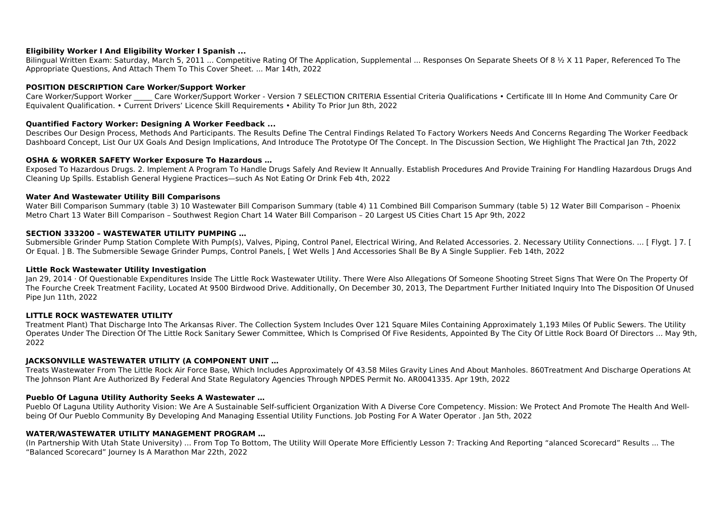# **Eligibility Worker I And Eligibility Worker I Spanish ...**

Bilingual Written Exam: Saturday, March 5, 2011 ... Competitive Rating Of The Application, Supplemental ... Responses On Separate Sheets Of 8 ½ X 11 Paper, Referenced To The Appropriate Questions, And Attach Them To This Cover Sheet. ... Mar 14th, 2022

Care Worker/Support Worker Care Worker/Support Worker - Version 7 SELECTION CRITERIA Essential Criteria Qualifications • Certificate III In Home And Community Care Or Equivalent Qualification. • Current Drivers' Licence Skill Requirements • Ability To Prior Jun 8th, 2022

# **POSITION DESCRIPTION Care Worker/Support Worker**

### **Quantified Factory Worker: Designing A Worker Feedback ...**

Describes Our Design Process, Methods And Participants. The Results Define The Central Findings Related To Factory Workers Needs And Concerns Regarding The Worker Feedback Dashboard Concept, List Our UX Goals And Design Implications, And Introduce The Prototype Of The Concept. In The Discussion Section, We Highlight The Practical Jan 7th, 2022

#### **OSHA & WORKER SAFETY Worker Exposure To Hazardous …**

Exposed To Hazardous Drugs. 2. Implement A Program To Handle Drugs Safely And Review It Annually. Establish Procedures And Provide Training For Handling Hazardous Drugs And Cleaning Up Spills. Establish General Hygiene Practices—such As Not Eating Or Drink Feb 4th, 2022

#### **Water And Wastewater Utility Bill Comparisons**

Water Bill Comparison Summary (table 3) 10 Wastewater Bill Comparison Summary (table 4) 11 Combined Bill Comparison Summary (table 5) 12 Water Bill Comparison – Phoenix Metro Chart 13 Water Bill Comparison – Southwest Region Chart 14 Water Bill Comparison – 20 Largest US Cities Chart 15 Apr 9th, 2022

#### **SECTION 333200 – WASTEWATER UTILITY PUMPING …**

Submersible Grinder Pump Station Complete With Pump(s), Valves, Piping, Control Panel, Electrical Wiring, And Related Accessories. 2. Necessary Utility Connections. ... [ Flygt. ] 7. [ Or Equal. ] B. The Submersible Sewage Grinder Pumps, Control Panels, [ Wet Wells ] And Accessories Shall Be By A Single Supplier. Feb 14th, 2022

#### **Little Rock Wastewater Utility Investigation**

Jan 29, 2014 · Of Questionable Expenditures Inside The Little Rock Wastewater Utility. There Were Also Allegations Of Someone Shooting Street Signs That Were On The Property Of The Fourche Creek Treatment Facility, Located At 9500 Birdwood Drive. Additionally, On December 30, 2013, The Department Further Initiated Inquiry Into The Disposition Of Unused Pipe Jun 11th, 2022

# **LITTLE ROCK WASTEWATER UTILITY**

Treatment Plant) That Discharge Into The Arkansas River. The Collection System Includes Over 121 Square Miles Containing Approximately 1,193 Miles Of Public Sewers. The Utility Operates Under The Direction Of The Little Rock Sanitary Sewer Committee, Which Is Comprised Of Five Residents, Appointed By The City Of Little Rock Board Of Directors ... May 9th, 2022

# **JACKSONVILLE WASTEWATER UTILITY (A COMPONENT UNIT …**

Treats Wastewater From The Little Rock Air Force Base, Which Includes Approximately Of 43.58 Miles Gravity Lines And About Manholes. 860Treatment And Discharge Operations At The Johnson Plant Are Authorized By Federal And State Regulatory Agencies Through NPDES Permit No. AR0041335. Apr 19th, 2022

# **Pueblo Of Laguna Utility Authority Seeks A Wastewater …**

Pueblo Of Laguna Utility Authority Vision: We Are A Sustainable Self-sufficient Organization With A Diverse Core Competency. Mission: We Protect And Promote The Health And Wellbeing Of Our Pueblo Community By Developing And Managing Essential Utility Functions. Job Posting For A Water Operator . Jan 5th, 2022

# **WATER/WASTEWATER UTILITY MANAGEMENT PROGRAM …**

(In Partnership With Utah State University) ... From Top To Bottom, The Utility Will Operate More Efficiently Lesson 7: Tracking And Reporting "alanced Scorecard" Results ... The "Balanced Scorecard" Journey Is A Marathon Mar 22th, 2022